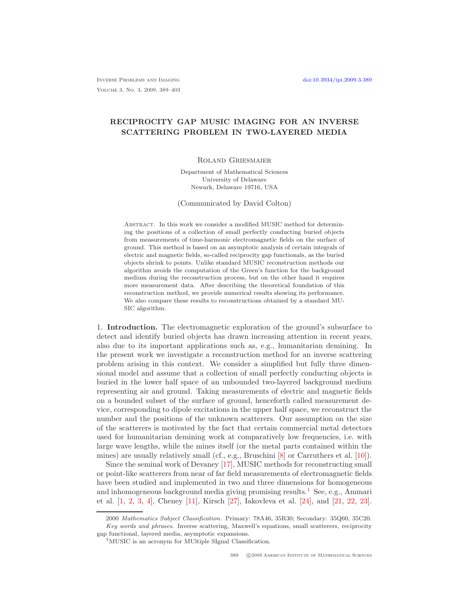Inverse Problems and Imaging [doi:10.3934/ipi.2009.3.389](http://dx.doi.org/10.3934/ipi.2009.3.389) Volume 3, No. 3, 2009, 389–403

# RECIPROCITY GAP MUSIC IMAGING FOR AN INVERSE SCATTERING PROBLEM IN TWO-LAYERED MEDIA

### Roland Griesmaier

Department of Mathematical Sciences University of Delaware Newark, Delaware 19716, USA

(Communicated by David Colton)

Abstract. In this work we consider a modified MUSIC method for determining the positions of a collection of small perfectly conducting buried objects from measurements of time-harmonic electromagnetic fields on the surface of ground. This method is based on an asymptotic analysis of certain integrals of electric and magnetic fields, so-called reciprocity gap functionals, as the buried objects shrink to points. Unlike standard MUSIC reconstruction methods our algorithm avoids the computation of the Green's function for the background medium during the reconstruction process, but on the other hand it requires more measurement data. After describing the theoretical foundation of this reconstruction method, we provide numerical results showing its performance. We also compare these results to reconstructions obtained by a standard MU-SIC algorithm.

1. Introduction. The electromagnetic exploration of the ground's subsurface to detect and identify buried objects has drawn increasing attention in recent years, also due to its important applications such as, e.g., humanitarian demining. In the present work we investigate a reconstruction method for an inverse scattering problem arising in this context. We consider a simplified but fully three dimensional model and assume that a collection of small perfectly conducting objects is buried in the lower half space of an unbounded two-layered background medium representing air and ground. Taking measurements of electric and magnetic fields on a bounded subset of the surface of ground, henceforth called measurement device, corresponding to dipole excitations in the upper half space, we reconstruct the number and the positions of the unknown scatterers. Our assumption on the size of the scatterers is motivated by the fact that certain commercial metal detectors used for humanitarian demining work at comparatively low frequencies, i.e. with large wave lengths, while the mines itself (or the metal parts contained within the mines) are usually relatively small (cf., e.g., Bruschini [\[8\]](#page-13-0) or Carruthers et al. [\[10\]](#page-14-0)).

Since the seminal work of Devaney [\[17\]](#page-14-1), MUSIC methods for reconstructing small or point-like scatterers from near of far field measurements of electromagnetic fields have been studied and implemented in two and three dimensions for homogeneous and inhomogeneous background media giving promising results.<sup>[1](#page-0-0)</sup> See, e.g., Ammari et al. [\[1,](#page-13-1) [2,](#page-13-2) [3,](#page-13-3) [4\]](#page-13-4), Cheney [\[11\]](#page-14-2), Kirsch [\[27\]](#page-14-3), Iakovleva et al. [\[24\]](#page-14-4), and [\[21,](#page-14-5) [22,](#page-14-6) [23\]](#page-14-7).

<sup>2000</sup> Mathematics Subject Classification. Primary: 78A46, 35R30; Secondary: 35Q60, 35C20. Key words and phrases. Inverse scattering, Maxwell's equations, small scatterers, reciprocity gap functional, layered media, asymptotic expansions.

<span id="page-0-0"></span><sup>&</sup>lt;sup>1</sup>MUSIC is an acronym for MUltiple SIgnal Classification.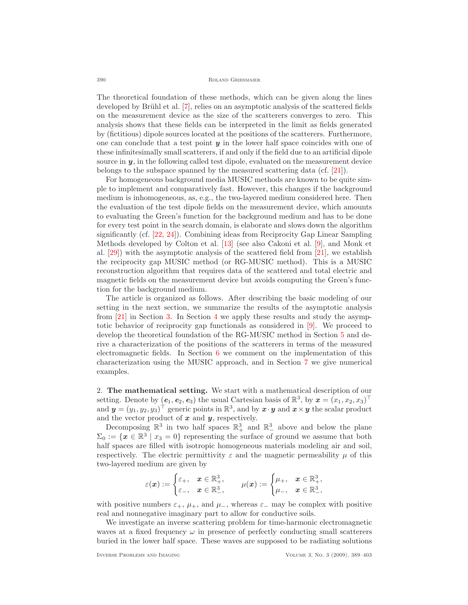#### 390 Roland Griesmaier

The theoretical foundation of these methods, which can be given along the lines developed by Brühl et al.  $[7]$ , relies on an asymptotic analysis of the scattered fields on the measurement device as the size of the scatterers converges to zero. This analysis shows that these fields can be interpreted in the limit as fields generated by (fictitious) dipole sources located at the positions of the scatterers. Furthermore, one can conclude that a test point  $y$  in the lower half space coincides with one of these infinitesimally small scatterers, if and only if the field due to an artificial dipole source in  $y$ , in the following called test dipole, evaluated on the measurement device belongs to the subspace spanned by the measured scattering data (cf. [\[21\]](#page-14-5)).

For homogeneous background media MUSIC methods are known to be quite simple to implement and comparatively fast. However, this changes if the background medium is inhomogeneous, as, e.g., the two-layered medium considered here. Then the evaluation of the test dipole fields on the measurement device, which amounts to evaluating the Green's function for the background medium and has to be done for every test point in the search domain, is elaborate and slows down the algorithm significantly (cf. [\[22,](#page-14-6) [24\]](#page-14-4)). Combining ideas from Reciprocity Gap Linear Sampling Methods developed by Colton et al. [\[13\]](#page-14-8) (see also Cakoni et al. [\[9\]](#page-13-6), and Monk et al. [\[29\]](#page-14-9)) with the asymptotic analysis of the scattered field from [\[21\]](#page-14-5), we establish the reciprocity gap MUSIC method (or RG-MUSIC method). This is a MUSIC reconstruction algorithm that requires data of the scattered and total electric and magnetic fields on the measurement device but avoids computing the Green's function for the background medium.

The article is organized as follows. After describing the basic modeling of our setting in the next section, we summarize the results of the asymptotic analysis from [\[21\]](#page-14-5) in Section [3.](#page-3-0) In Section [4](#page-4-0) we apply these results and study the asymptotic behavior of reciprocity gap functionals as considered in [\[9\]](#page-13-6). We proceed to develop the theoretical foundation of the RG-MUSIC method in Section [5](#page-7-0) and derive a characterization of the positions of the scatterers in terms of the measured electromagnetic fields. In Section [6](#page-9-0) we comment on the implementation of this characterization using the MUSIC approach, and in Section [7](#page-10-0) we give numerical examples.

<span id="page-1-0"></span>2. The mathematical setting. We start with a mathematical description of our setting. Denote by  $(e_1, e_2, e_3)$  the usual Cartesian basis of  $\mathbb{R}^3$ , by  $\boldsymbol{x} = (x_1, x_2, x_3)^\top$ and  $y = (y_1, y_2, y_3)^\top$  generic points in  $\mathbb{R}^3$ , and by  $x \cdot y$  and  $x \times y$  the scalar product and the vector product of  $x$  and  $y$ , respectively.

Decomposing  $\mathbb{R}^3$  in two half spaces  $\mathbb{R}^3_+$  and  $\mathbb{R}^3_-$  above and below the plane  $\Sigma_0 := \{x \in \mathbb{R}^3 \mid x_3 = 0\}$  representing the surface of ground we assume that both half spaces are filled with isotropic homogeneous materials modeling air and soil, respectively. The electric permittivity  $\varepsilon$  and the magnetic permeability  $\mu$  of this two-layered medium are given by

$$
\varepsilon(\boldsymbol{x}) := \begin{cases} \varepsilon_+, & \boldsymbol{x} \in \mathbb{R}^3_+, \\ \varepsilon_-, & \boldsymbol{x} \in \mathbb{R}^3_-, \end{cases} \qquad \mu(\boldsymbol{x}) := \begin{cases} \mu_+, & \boldsymbol{x} \in \mathbb{R}^3_+, \\ \mu_-, & \boldsymbol{x} \in \mathbb{R}^3_-, \end{cases}
$$

with positive numbers  $\varepsilon_+$ ,  $\mu_+$ , and  $\mu_-$ , whereas  $\varepsilon_-$  may be complex with positive real and nonnegative imaginary part to allow for conductive soils.

We investigate an inverse scattering problem for time-harmonic electromagnetic waves at a fixed frequency  $\omega$  in presence of perfectly conducting small scatterers buried in the lower half space. These waves are supposed to be radiating solutions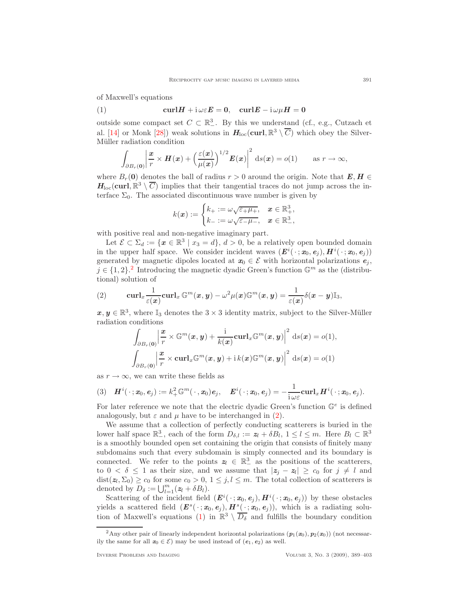of Maxwell's equations

## <span id="page-2-2"></span>(1) curlH + i  $\omega \varepsilon \mathbf{E} = 0$ , curlE – i  $\omega \mu \mathbf{H} = 0$

outside some compact set  $C \subset \mathbb{R}^3_-$ . By this we understand (cf., e.g., Cutzach et al. [\[14\]](#page-14-10) or Monk [\[28\]](#page-14-11)) weak solutions in  $H_{\text{loc}}(\text{curl}, \mathbb{R}^3 \setminus \overline{C})$  which obey the Silver-Müller radiation condition

$$
\int_{\partial B_r(\mathbf{0})} \left| \frac{\mathbf{x}}{r} \times \mathbf{H}(\mathbf{x}) + \left( \frac{\varepsilon(\mathbf{x})}{\mu(\mathbf{x})} \right)^{1/2} \mathbf{E}(\mathbf{x}) \right|^2 ds(\mathbf{x}) = o(1) \quad \text{as } r \to \infty,
$$

where  $B_r(\mathbf{0})$  denotes the ball of radius  $r > 0$  around the origin. Note that  $\mathbf{E}, \mathbf{H} \in$  $H_{\text{loc}}(\text{curl}, \mathbb{R}^3 \setminus \overline{C})$  implies that their tangential traces do not jump across the interface  $\Sigma_0$ . The associated discontinuous wave number is given by

$$
k(\boldsymbol{x}) := \begin{cases} k_+ := \omega \sqrt{\varepsilon_+ \mu_+}, & \boldsymbol{x} \in \mathbb{R}^3_+, \\ k_- := \omega \sqrt{\varepsilon_- \mu_-}, & \boldsymbol{x} \in \mathbb{R}^3_-, \end{cases}
$$

with positive real and non-negative imaginary part.

Let  $\mathcal{E} \subset \Sigma_d := \{ \mathbf{x} \in \mathbb{R}^3 \mid x_3 = d \}, d > 0$ , be a relatively open bounded domain in the upper half space. We consider incident waves  $(E^{i}(\cdot; x_0, e_j), H^{i}(\cdot; x_0, e_j))$ generated by magnetic dipoles located at  $x_0 \in \mathcal{E}$  with horizontal polarizations  $e_i$ ,  $j \in \{1, 2\}$  $j \in \{1, 2\}$  $j \in \{1, 2\}$ .<sup>2</sup> Introducing the magnetic dyadic Green's function  $\mathbb{G}^m$  as the (distributional) solution of

<span id="page-2-1"></span>(2) 
$$
\operatorname{curl}_x \frac{1}{\varepsilon(x)} \operatorname{curl}_x \mathbb{G}^m(x, y) - \omega^2 \mu(x) \mathbb{G}^m(x, y) = \frac{1}{\varepsilon(x)} \delta(x - y) \mathbb{I}_3,
$$

 $x, y \in \mathbb{R}^3$ , where  $\mathbb{I}_3$  denotes the  $3 \times 3$  identity matrix, subject to the Silver-Müller radiation conditions

$$
\int_{\partial B_r(\mathbf{0})} \left| \frac{x}{r} \times \mathbb{G}^m(x, y) + \frac{i}{k(x)} \mathbf{curl}_x \mathbb{G}^m(x, y) \right|^2 ds(x) = o(1),
$$
  

$$
\int_{\partial B_r(\mathbf{0})} \left| \frac{x}{r} \times \mathbf{curl}_x \mathbb{G}^m(x, y) + i k(x) \mathbb{G}^m(x, y) \right|^2 ds(x) = o(1)
$$

as  $r \to \infty$ , we can write these fields as

<span id="page-2-3"></span>(3) 
$$
\boldsymbol{H}^i(\cdot; \boldsymbol{x}_0, \boldsymbol{e}_j) := k_+^2 \mathbb{G}^m(\cdot, \boldsymbol{x}_0) \boldsymbol{e}_j, \quad \boldsymbol{E}^i(\cdot; \boldsymbol{x}_0, \boldsymbol{e}_j) = -\frac{1}{i \omega \varepsilon} \mathbf{curl}_x \boldsymbol{H}^i(\cdot; \boldsymbol{x}_0, \boldsymbol{e}_j).
$$

For later reference we note that the electric dyadic Green's function  $\mathbb{G}^e$  is defined analogously, but  $\varepsilon$  and  $\mu$  have to be interchanged in [\(2\)](#page-2-1).

We assume that a collection of perfectly conducting scatterers is buried in the lower half space  $\mathbb{R}^3_-,$  each of the form  $D_{\delta,l} := z_l + \delta B_l, 1 \le l \le m$ . Here  $B_l \subset \mathbb{R}^3$ is a smoothly bounded open set containing the origin that consists of finitely many subdomains such that every subdomain is simply connected and its boundary is connected. We refer to the points  $z_l \in \mathbb{R}^3$  as the positions of the scatterers, to  $0 < \delta \leq 1$  as their size, and we assume that  $|z_j - z_l| \geq c_0$  for  $j \neq l$  and  $dist(z_l, \Sigma_0) \ge c_0$  for some  $c_0 > 0, 1 \le j, l \le m$ . The total collection of scatterers is denoted by  $D_{\delta} := \bigcup_{l=1}^{m} (z_l + \delta B_l).$ 

Scattering of the incident field  $(\mathbf{E}^i(\cdot; x_0, e_j), \mathbf{H}^i(\cdot; x_0, e_j))$  by these obstacles yields a scattered field  $(E^s(\cdot; x_0, e_j), H^s(\cdot; x_0, e_j))$ , which is a radiating solu-tion of Maxwell's equations [\(1\)](#page-2-2) in  $\mathbb{R}^3 \setminus \overline{D_\delta}$  and fulfills the boundary condition

<span id="page-2-0"></span><sup>&</sup>lt;sup>2</sup>Any other pair of linearly independent horizontal polarizations  $(p_1(x_0), p_2(x_0))$  (not necessarily the same for all  $x_0 \in \mathcal{E}$ ) may be used instead of  $(e_1, e_2)$  as well.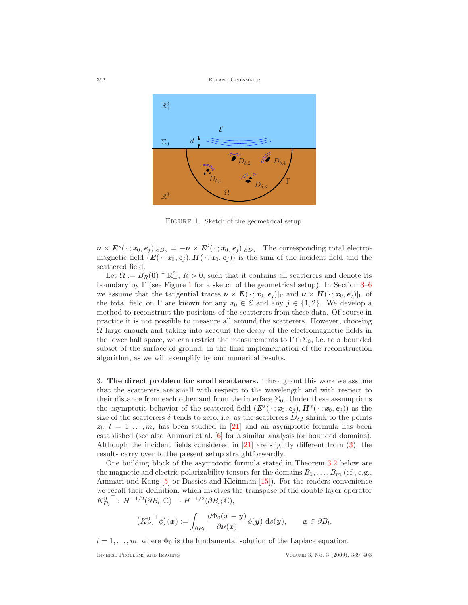392 Roland Griesmaier



<span id="page-3-1"></span>FIGURE 1. Sketch of the geometrical setup.

 $\nu \times E^s(\cdot; x_0, e_j)|_{\partial D_\delta} = -\nu \times E^i(\cdot; x_0, e_j)|_{\partial D_\delta}$ . The corresponding total electromagnetic field  $(E(\cdot; x_0, e_j), H(\cdot; x_0, e_j))$  is the sum of the incident field and the scattered field.

Let  $\Omega := B_R(0) \cap \mathbb{R}^3_-, R > 0$ , such that it contains all scatterers and denote its boundary by  $\Gamma$  (see Figure [1](#page-3-1) for a sketch of the geometrical setup). In Section [3–](#page-3-0)[6](#page-9-0) we assume that the tangential traces  $\nu \times E(\cdot; x_0, e_i)|_{\Gamma}$  and  $\nu \times H(\cdot; x_0, e_i)|_{\Gamma}$  of the total field on  $\Gamma$  are known for any  $x_0 \in \mathcal{E}$  and any  $j \in \{1,2\}$ . We develop a method to reconstruct the positions of the scatterers from these data. Of course in practice it is not possible to measure all around the scatterers. However, choosing  $\Omega$  large enough and taking into account the decay of the electromagnetic fields in the lower half space, we can restrict the measurements to  $\Gamma \cap \Sigma_0$ , i.e. to a bounded subset of the surface of ground, in the final implementation of the reconstruction algorithm, as we will exemplify by our numerical results.

<span id="page-3-0"></span>3. The direct problem for small scatterers. Throughout this work we assume that the scatterers are small with respect to the wavelength and with respect to their distance from each other and from the interface  $\Sigma_0$ . Under these assumptions the asymptotic behavior of the scattered field  $(E^s(\cdot; x_0, e_j), H^s(\cdot; x_0, e_j))$  as the size of the scatterers  $\delta$  tends to zero, i.e. as the scatterers  $D_{\delta,l}$  shrink to the points  $z_l, l = 1, \ldots, m$ , has been studied in [\[21\]](#page-14-5) and an asymptotic formula has been established (see also Ammari et al. [\[6\]](#page-13-7) for a similar analysis for bounded domains). Although the incident fields considered in [\[21\]](#page-14-5) are slightly different from [\(3\)](#page-2-3), the results carry over to the present setup straightforwardly.

One building block of the asymptotic formula stated in Theorem [3.2](#page-4-1) below are the magnetic and electric polarizability tensors for the domains  $B_1, \ldots, B_m$  (cf., e.g., Ammari and Kang  $\left[5\right]$  or Dassios and Kleinman  $\left[15\right]$ ). For the readers convenience we recall their definition, which involves the transpose of the double layer operator  $K_{B_l}^0$  $\top: H^{-1/2}(\partial B_l; \mathbb{C}) \to H^{-1/2}(\partial B_l; \mathbb{C}),$ 

$$
\bigl(K_{B_l}^{0\;\top}\phi\bigr)(\boldsymbol{x}):=\int_{\partial B_l}\frac{\partial \Phi_0(\boldsymbol{x}-\boldsymbol{y})}{\partial \boldsymbol{\nu}(\boldsymbol{x})}\phi(\boldsymbol{y})\,\mathrm{d} s(\boldsymbol{y}),\qquad \boldsymbol{x}\in\partial B_l,
$$

 $l = 1, \ldots, m$ , where  $\Phi_0$  is the fundamental solution of the Laplace equation.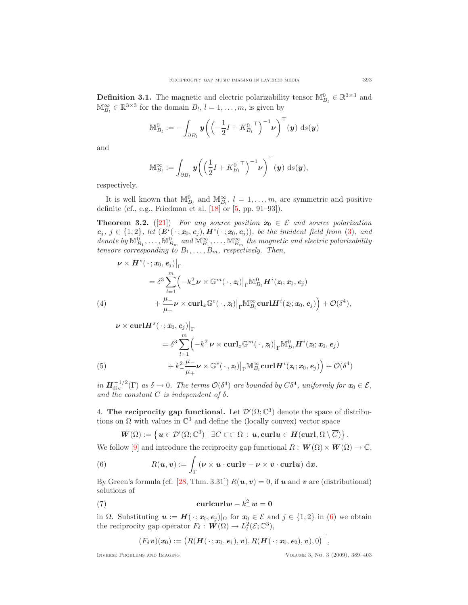**Definition 3.1.** The magnetic and electric polarizability tensor  $\mathbb{M}_{B_l}^0 \in \mathbb{R}^{3 \times 3}$  and  $\mathbb{M}_{B_l}^{\infty} \in \mathbb{R}^{3 \times 3}$  for the domain  $B_l$ ,  $l = 1, \ldots, m$ , is given by

$$
\mathbb{M}_{B_l}^0 := -\int_{\partial B_l} \boldsymbol{y} \left( \left( -\frac{1}{2} I + K_{B_l}^0 \right)^{-1} \boldsymbol{\nu} \right)^{\top} (\boldsymbol{y}) \, \mathrm{d}s(\boldsymbol{y})
$$

and

$$
\mathbb{M}_{B_l}^{\infty} := \int_{\partial B_l} \boldsymbol{y} \bigg( \Big( \frac{1}{2} I + K_{B_l}^{0} \big)^{-1} \boldsymbol{\nu} \bigg)^{\top} (\boldsymbol{y}) \, \mathrm{d} s(\boldsymbol{y}),
$$

respectively.

<span id="page-4-1"></span>It is well known that  $\mathbb{M}_{B_l}^0$  and  $\mathbb{M}_{B_l}^{\infty}$ ,  $l = 1, \ldots, m$ , are symmetric and positive definite (cf., e.g., Friedman et al. [\[18\]](#page-14-13) or [\[5,](#page-13-8) pp. 91–93]).

**Theorem 3.2.** ([\[21\]](#page-14-5)) For any source position  $x_0 \in \mathcal{E}$  and source polarization  $e_j, j \in \{1,2\}$ , let  $(E^i(\cdot; x_0, e_j), H^i(\cdot; x_0, e_j))$ , be the incident field from [\(3\)](#page-2-3), and denote by  $\mathbb{M}_{B_1}^0, \ldots, \mathbb{M}_{B_m}^0$  and  $\mathbb{M}_{B_1}^{\infty}, \ldots, \mathbb{M}_{B_m}^{\infty}$  the magnetic and electric polarizability tensors corresponding to  $B_1, \ldots, B_m$ , respectively. Then,

$$
\nu \times \boldsymbol{H}^{s}(\cdot; \boldsymbol{x}_{0}, \boldsymbol{e}_{j})\big|_{\Gamma} \n= \delta^{3} \sum_{l=1}^{m} \Bigl( -k_{-}^{2} \nu \times \mathbb{G}^{m}(\cdot, \boldsymbol{z}_{l})\bigl|_{\Gamma} \mathbb{M}_{B_{l}}^{0} \boldsymbol{H}^{i}(\boldsymbol{z}_{l}; \boldsymbol{x}_{0}, \boldsymbol{e}_{j}) \n+ \frac{\mu_{-}}{\mu_{+}} \nu \times \operatorname{curl}_{x} \mathbb{G}^{e}(\cdot, \boldsymbol{z}_{l})\bigl|_{\Gamma} \mathbb{M}_{B_{l}}^{\infty} \operatorname{curl} \boldsymbol{H}^{i}(\boldsymbol{z}_{l}; \boldsymbol{x}_{0}, \boldsymbol{e}_{j}) \Bigr) + \mathcal{O}(\delta^{4}),
$$

<span id="page-4-4"></span>
$$
\nu \times \mathbf{curl} \mathbf{H}^{s}(\cdot; \mathbf{x}_{0}, \mathbf{e}_{j})\big|_{\Gamma}
$$
  
=  $\delta^{3} \sum_{l=1}^{m} \left( -k_{-}^{2} \nu \times \mathbf{curl}_{x} \mathbb{G}^{m}(\cdot, z_{l})\big|_{\Gamma} \mathbb{M}_{B_{l}}^{0} \mathbf{H}^{i}(z_{l}; x_{0}, e_{j}) + k_{-}^{2} \frac{\mu_{-}}{\mu_{+}} \nu \times \mathbb{G}^{e}(\cdot, z_{l})\big|_{\Gamma} \mathbb{M}_{B_{l}}^{\infty} \mathbf{curl} \mathbf{H}^{i}(z_{l}; x_{0}, e_{j}) + \mathcal{O}(\delta^{4})$ 

<span id="page-4-5"></span>in  $H^{-1/2}_{div}(\Gamma)$  as  $\delta \to 0$ . The terms  $\mathcal{O}(\delta^4)$  are bounded by  $C\delta^4$ , uniformly for  $x_0 \in \mathcal{E}$ , and the constant  $C$  is independent of  $\delta$ .

<span id="page-4-0"></span>4. The reciprocity gap functional. Let  $\mathcal{D}'(\Omega;\mathbb{C}^3)$  denote the space of distributions on  $\Omega$  with values in  $\mathbb{C}^3$  and define the (locally convex) vector space

$$
\boldsymbol{W}(\Omega):=\left\{\boldsymbol{u}\in\mathcal{D}'(\Omega;\mathbb{C}^3)\mid \exists C\subset\subset\Omega\,:\, \boldsymbol{u},\mathbf{curl}\boldsymbol{u}\in\boldsymbol{H}(\mathbf{curl},\Omega\setminus\overline{C})\right\}.
$$

We follow [\[9\]](#page-13-6) and introduce the reciprocity gap functional  $R : W(\Omega) \times W(\Omega) \to \mathbb{C}$ ,

<span id="page-4-2"></span>(6) 
$$
R(\boldsymbol{u}, \boldsymbol{v}) := \int_{\Gamma} (\boldsymbol{\nu} \times \boldsymbol{u} \cdot \mathbf{curl} \boldsymbol{v} - \boldsymbol{\nu} \times \boldsymbol{v} \cdot \mathbf{curl} \boldsymbol{u}) \, d\boldsymbol{x}.
$$

By Green's formula (cf. [\[28,](#page-14-11) Thm. 3.31])  $R(u, v) = 0$ , if u and v are (distributional) solutions of

$$
(7) \t\t curl curlw - k^2_- w = 0
$$

in  $\Omega$ . Substituting  $u := H(\cdot; x_0, e_i)|_{\Omega}$  for  $x_0 \in \mathcal{E}$  and  $j \in \{1, 2\}$  in [\(6\)](#page-4-2) we obtain the reciprocity gap operator  $F_{\delta}: \mathbf{W}(\Omega) \to L^2_t(\mathcal{E}; \mathbb{C}^3)$ ,

<span id="page-4-3"></span>
$$
(F_{\delta}\boldsymbol{v})(\boldsymbol{x}_0):=\big(R(\boldsymbol{H}(\,\cdot\,;\boldsymbol{x}_0,\boldsymbol{e}_1),\boldsymbol{v}),R(\boldsymbol{H}(\,\cdot\,;\boldsymbol{x}_0,\boldsymbol{e}_2),\boldsymbol{v}),0\big)^{\top}
$$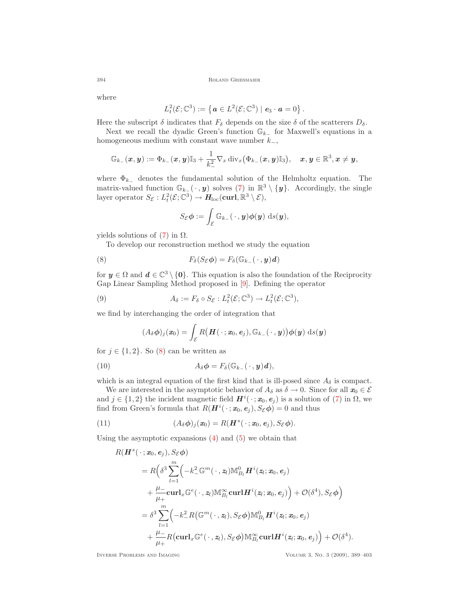where

$$
L^2_t(\mathcal{E};\mathbb{C}^3):=\left\{ \boldsymbol{a}\in L^2(\mathcal{E};\mathbb{C}^3) \mid \boldsymbol{e}_3\cdot \boldsymbol{a}=0 \right\}.
$$

Here the subscript  $\delta$  indicates that  $F_{\delta}$  depends on the size  $\delta$  of the scatterers  $D_{\delta}$ .

Next we recall the dyadic Green's function  $\mathbb{G}_{k-}$  for Maxwell's equations in a homogeneous medium with constant wave number  $k_-,$ 

$$
\mathbb{G}_{k_-}(\boldsymbol{x},\boldsymbol{y}):=\Phi_{k_-}(\boldsymbol{x},\boldsymbol{y})\mathbb{I}_3+\frac{1}{k_-^2}\nabla_x\operatorname{div}_x\big(\Phi_{k_-}(\boldsymbol{x},\boldsymbol{y})\mathbb{I}_3\big),\quad \boldsymbol{x},\boldsymbol{y}\in\mathbb{R}^3,\boldsymbol{x}\neq\boldsymbol{y},
$$

where  $\Phi_{k-}$  denotes the fundamental solution of the Helmholtz equation. The matrix-valued function  $\mathbb{G}_{k-}(\cdot, y)$  solves  $(7)$  in  $\mathbb{R}^3 \setminus \{y\}$ . Accordingly, the single layer operator  $S_{\mathcal{E}}: L^2_t(\mathcal{E}; \mathbb{C}^3) \to H_{\text{loc}}(\text{curl}, \mathbb{R}^3 \setminus \mathcal{E}),$ 

$$
S_{\mathcal{E}}\boldsymbol{\phi}:=\int_{\mathcal{E}}\mathbb{G}_{k_-}(\,\cdot\,,\boldsymbol{y})\boldsymbol{\phi}(\boldsymbol{y})\,\mathrm{d}s(\boldsymbol{y}),
$$

yields solutions of  $(7)$  in  $\Omega$ .

<span id="page-5-0"></span>To develop our reconstruction method we study the equation

(8) 
$$
F_{\delta}(S_{\mathcal{E}}\boldsymbol{\phi})=F_{\delta}(\mathbb{G}_{k_{-}}(\cdot,\boldsymbol{y})\boldsymbol{d})
$$

for  $y \in \Omega$  and  $d \in \mathbb{C}^3 \setminus \{0\}$ . This equation is also the foundation of the Reciprocity Gap Linear Sampling Method proposed in [\[9\]](#page-13-6). Defining the operator

<span id="page-5-2"></span>(9) 
$$
A_{\delta} := F_{\delta} \circ S_{\mathcal{E}} : L_t^2(\mathcal{E}; \mathbb{C}^3) \to L_t^2(\mathcal{E}; \mathbb{C}^3),
$$

we find by interchanging the order of integration that

<span id="page-5-1"></span>
$$
(A_{\delta}\boldsymbol{\phi})_j(\boldsymbol{x}_0)=\int_{\mathcal{E}} R(\boldsymbol{H}(\,\cdot\,;\boldsymbol{x}_0,\boldsymbol{e}_j),\mathbb{G}_{k_-}(\,\cdot\,,\boldsymbol{y}))\boldsymbol{\phi}(\boldsymbol{y})\,\mathrm{d}s(\boldsymbol{y})
$$

for  $j \in \{1, 2\}$ . So [\(8\)](#page-5-0) can be written as

(10) 
$$
A_{\delta} \phi = F_{\delta}(\mathbb{G}_{k_{-}}(\cdot, y)d),
$$

which is an integral equation of the first kind that is ill-posed since  $A_{\delta}$  is compact.

We are interested in the asymptotic behavior of  $A_{\delta}$  as  $\delta \to 0$ . Since for all  $x_0 \in \mathcal{E}$ and  $j \in \{1,2\}$  the incident magnetic field  $\mathbf{H}^i(\cdot; \mathbf{x}_0, \mathbf{e}_j)$  is a solution of [\(7\)](#page-4-3) in  $\Omega$ , we find from Green's formula that  $R(\mathbf{H}^i(\cdot; \mathbf{x}_0, \mathbf{e}_j), S_{\mathcal{E}} \phi) = 0$  and thus

<span id="page-5-3"></span>(11) 
$$
(A_{\delta}\phi)_{j}(\boldsymbol{x}_{0})=R(\boldsymbol{H}^{s}(\cdot;\boldsymbol{x}_{0},\boldsymbol{e}_{j}),S_{\varepsilon}\phi).
$$

Using the asymptotic expansions  $(4)$  and  $(5)$  we obtain that

$$
R(\boldsymbol{H}^{s}(\cdot;\boldsymbol{x}_{0},e_{j}),S_{\mathcal{E}}\boldsymbol{\phi})
$$
\n
$$
= R\left(\delta^{3}\sum_{l=1}^{m}\left(-k_{-}^{2}\mathbb{G}^{m}(\cdot,z_{l})\mathbb{M}^{0}_{B_{l}}\boldsymbol{H}^{i}(z_{l};\boldsymbol{x}_{0},e_{j})\right.\right.
$$
\n
$$
+\frac{\mu_{-}}{\mu_{+}}\mathbf{curl}_{x}\mathbb{G}^{e}(\cdot,z_{l})\mathbb{M}^{\infty}_{B_{l}}\mathbf{curl}\boldsymbol{H}^{i}(z_{l};\boldsymbol{x}_{0},e_{j})\right) + \mathcal{O}(\delta^{4}),S_{\mathcal{E}}\boldsymbol{\phi}\right)
$$
\n
$$
= \delta^{3}\sum_{l=1}^{m}\left(-k_{-}^{2}R\left(\mathbb{G}^{m}(\cdot,z_{l}),S_{\mathcal{E}}\boldsymbol{\phi}\right)\mathbb{M}^{0}_{B_{l}}\boldsymbol{H}^{i}(z_{l};\boldsymbol{x}_{0},e_{j})\right)
$$
\n
$$
+\frac{\mu_{-}}{\mu_{+}}R\left(\mathbf{curl}_{x}\mathbb{G}^{e}(\cdot,z_{l}),S_{\mathcal{E}}\boldsymbol{\phi}\right)\mathbb{M}^{\infty}_{B_{l}}\mathbf{curl}\boldsymbol{H}^{i}(z_{l};\boldsymbol{x}_{0},e_{j})\right) + \mathcal{O}(\delta^{4}).
$$

Inverse Problems and Imaging Volume 3, No. 3 (2009), 389–403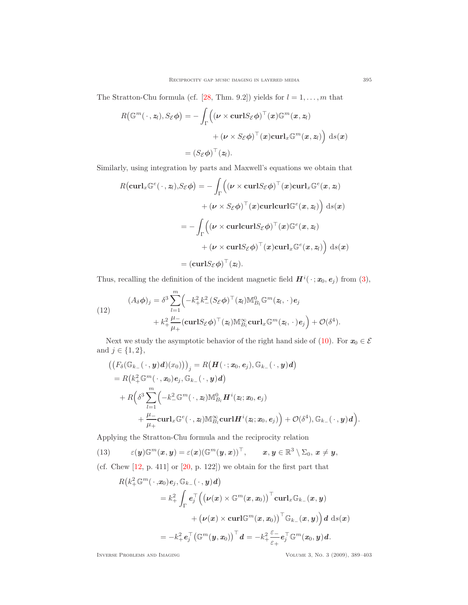The Stratton-Chu formula (cf. [\[28,](#page-14-11) Thm. 9.2]) yields for  $l = 1, \ldots, m$  that

$$
R(\mathbb{G}^m(\cdot, z_l), S_{\mathcal{E}}\phi) = -\int_{\Gamma} \left( (\boldsymbol{\nu} \times \mathbf{curl} S_{\mathcal{E}}\phi)^{\top}(\boldsymbol{x}) \mathbb{G}^m(\boldsymbol{x}, z_l) \right. \\ \left. + (\boldsymbol{\nu} \times S_{\mathcal{E}}\phi)^{\top}(\boldsymbol{x}) \mathbf{curl}_{\boldsymbol{x}} \mathbb{G}^m(\boldsymbol{x}, z_l) \right) \, \mathrm{d}s(\boldsymbol{x}) \\ = (S_{\mathcal{E}}\phi)^{\top}(\boldsymbol{z}_l).
$$

Similarly, using integration by parts and Maxwell's equations we obtain that

$$
R(\mathbf{curl}_x \mathbb{G}^e(\cdot, z_l), S_{\mathcal{E}} \phi) = -\int_{\Gamma} \left( (\nu \times \mathbf{curl} S_{\mathcal{E}} \phi)^{\top} (\mathbf{x}) \mathbf{curl}_x \mathbb{G}^e(\mathbf{x}, z_l) \right. \\ \left. + (\nu \times S_{\mathcal{E}} \phi)^{\top} (\mathbf{x}) \mathbf{curlcurl} \mathbb{G}^e(\mathbf{x}, z_l) \right) \, \mathrm{d}s(\mathbf{x}) \\ = -\int_{\Gamma} \left( (\nu \times \mathbf{curlcurl} S_{\mathcal{E}} \phi)^{\top} (\mathbf{x}) \mathbb{G}^e(\mathbf{x}, z_l) \right. \\ \left. + (\nu \times \mathbf{curl} S_{\mathcal{E}} \phi)^{\top} (\mathbf{x}) \mathbf{curl}_x \mathbb{G}^e(\mathbf{x}, z_l) \right) \, \mathrm{d}s(\mathbf{x}) \\ = (\mathbf{curl} S_{\mathcal{E}} \phi)^{\top} (\mathbf{z}_l).
$$

Thus, recalling the definition of the incident magnetic field  $H^{i}(\cdot; x_0, e_j)$  from [\(3\)](#page-2-3),

<span id="page-6-1"></span>(12) 
$$
(A_{\delta}\phi)_{j} = \delta^{3} \sum_{l=1}^{m} \left( -k_{+}^{2} k_{-}^{2} (S_{\mathcal{E}} \phi)^{\top} (z_{l}) \mathbb{M}_{B_{l}}^{0} \mathbb{G}^{m}(z_{l}, \cdot) e_{j} + k_{+}^{2} \frac{\mu_{-}}{\mu_{+}} (\mathbf{curl} S_{\mathcal{E}} \phi)^{\top} (z_{l}) \mathbb{M}_{B_{l}}^{\infty} \mathbf{curl}_{x} \mathbb{G}^{m}(z_{l}, \cdot) e_{j} \right) + \mathcal{O}(\delta^{4}).
$$

Next we study the asymptotic behavior of the right hand side of [\(10\)](#page-5-1). For  $x_0 \in \mathcal{E}$ and  $j \in \{1, 2\},\$ 

$$
\begin{split} &\left(\left(F_{\delta}(\mathbb{G}_{k_-}(\,\cdot\,,y)d)(x_0)\right)\right)_j=R\big(\boldsymbol{H}(\,\cdot\,;x_0,\boldsymbol{e}_j),\mathbb{G}_{k_-}(\,\cdot\,,y)d\big)\\ &=R\big(k_+^2\mathbb{G}^m(\,\cdot\,,x_0)\boldsymbol{e}_j,\mathbb{G}_{k_-}(\,\cdot\,,y)d\big)\\ &+R\Big(\delta^3\sum_{l=1}^m\Big(-k_-^2\mathbb{G}^m(\,\cdot\,,z_l)\mathbb{M}_{B_l}^0\boldsymbol{H}^i(z_l;x_0,\boldsymbol{e}_j)\\ &+\frac{\mu_-}{\mu_+}\mathbf{curl}_x\mathbb{G}^e(\,\cdot\,,z_l)\mathbb{M}_{B_l}^\infty\mathbf{curl}\boldsymbol{H}^i(z_l;x_0,\boldsymbol{e}_j)\Big)+\mathcal{O}(\delta^4),\mathbb{G}_{k_-}(\,\cdot\,,y)d\Big). \end{split}
$$

Applying the Stratton-Chu formula and the reciprocity relation

<span id="page-6-0"></span>(13) 
$$
\varepsilon(\boldsymbol{y})\mathbb{G}^m(\boldsymbol{x},\boldsymbol{y})=\varepsilon(\boldsymbol{x})(\mathbb{G}^m(\boldsymbol{y},\boldsymbol{x}))^{\top}, \qquad \boldsymbol{x},\boldsymbol{y}\in\mathbb{R}^3\setminus\Sigma_0, \boldsymbol{x}\neq\boldsymbol{y},
$$

(cf. Chew  $[12, p. 411]$  or  $[20, p. 122]$ ) we obtain for the first part that

$$
\begin{aligned} R\big(k_+^2\mathbb G^m(\,\cdot\,,x_0)e_j,\mathbb G_{k_-}(\,\cdot\,,y)\,d\big)\\ &=k_+^2\int_\Gamma \boldsymbol e_j^\top\Big(\big(\boldsymbol\nu(\boldsymbol x)\times\mathbb G^m(\boldsymbol x,x_0)\big)^\top\mathbf{curl}_x\mathbb G_{k_-}(\boldsymbol x,y)\\ &\hspace{1cm}+\big(\boldsymbol\nu(\boldsymbol x)\times\mathbf{curl}\mathbb G^m(\boldsymbol x,x_0)\big)^\top\mathbb G_{k_-}(\boldsymbol x,y)\Big)d\,\,\mathrm{d} s(\boldsymbol x)\\ &\hspace{1cm}=-k_+^2\boldsymbol e_j^\top\big(\mathbb G^m(\boldsymbol y,\boldsymbol x_0)\big)^\top\boldsymbol d=-k_+^2\frac{\varepsilon_-}{\varepsilon_+}\boldsymbol e_j^\top\mathbb G^m(\boldsymbol x_0,\boldsymbol y)\,d. \end{aligned}
$$

Inverse Problems and Imaging Volume 3, No. 3 (2009), 389–403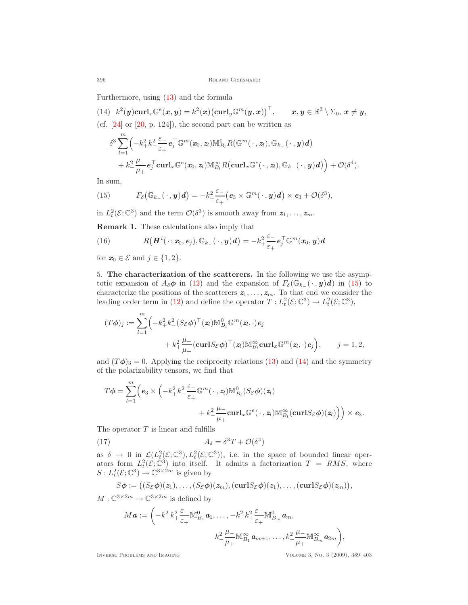Furthermore, using [\(13\)](#page-6-0) and the formula

<span id="page-7-2"></span> $(14) \ \ k^2(\boldsymbol{y}) \textbf{curl}_x \mathbb{G}^e(\boldsymbol{x}, \boldsymbol{y}) = k^2(\boldsymbol{x}) (\textbf{curl}_y \mathbb{G}^m(\boldsymbol{y}, \boldsymbol{x}))^\top$  $,\qquad \boldsymbol{x},\boldsymbol{y}\in\mathbb{R}^3\setminus\Sigma_0,\,\boldsymbol{x}\neq\boldsymbol{y},$ (cf.  $[24]$  or  $[20, p. 124]$ ), the second part can be written as

$$
\delta^3 \sum_{l=1}^m \Bigl( -k_+^2 k_-^2 \frac{\varepsilon_-}{\varepsilon_+} e_j^\top \mathbb{G}^m(x_0, z_l) \mathbb{M}_{B_l}^0 R\bigl(\mathbb{G}^m(\,\cdot\,, z_l), \mathbb{G}_{k_-}(\,\cdot\,, y) \mathbf{d}\bigr) \newline + k_-^2 \frac{\mu_-}{\mu_+} e_j^\top \operatorname{curl}_x \mathbb{G}^e(x_0, z_l) \mathbb{M}_{B_l}^\infty R\bigl(\operatorname{curl}_x \mathbb{G}^e(\,\cdot\,, z_l), \mathbb{G}_{k_-}(\,\cdot\,, y) \mathbf{d}\bigr)\Bigr) + \mathcal{O}(\delta^4).
$$

In sum,

<span id="page-7-1"></span>(15) 
$$
F_{\delta}(\mathbb{G}_{k_{-}}(\cdot,y)d)=-k_{+}^{2}\frac{\varepsilon_{-}}{\varepsilon_{+}}(e_{3}\times\mathbb{G}^{m}(\cdot,y)d)\times e_{3}+\mathcal{O}(\delta^{3}),
$$

in  $L^2_t(\mathcal{E}; \mathbb{C}^3)$  and the term  $\mathcal{O}(\delta^3)$  is smooth away from  $z_1, \ldots, z_m$ .

Remark 1. These calculations also imply that

<span id="page-7-4"></span>(16) 
$$
R\big(\boldsymbol{H}^i(\cdot; \boldsymbol{x}_0, \boldsymbol{e}_j), \mathbb{G}_{k_-}(\cdot, \boldsymbol{y})\boldsymbol{d}\big) = -k_+^2 \frac{\varepsilon_-}{\varepsilon_+} \boldsymbol{e}_j^\top \mathbb{G}^m(\boldsymbol{x}_0, \boldsymbol{y})\boldsymbol{d}
$$

<span id="page-7-0"></span>for  $x_0 \in \mathcal{E}$  and  $j \in \{1, 2\}.$ 

5. The characterization of the scatterers. In the following we use the asymptotic expansion of  $A_\delta\phi$  in [\(12\)](#page-6-1) and the expansion of  $F_\delta(\mathbb{G}_{k-}(\cdot, y)d)$  in [\(15\)](#page-7-1) to characterize the positions of the scatterers  $z_1, \ldots, z_m$ . To that end we consider the leading order term in [\(12\)](#page-6-1) and define the operator  $T: L^2_t(\mathcal{E}; \mathbb{C}^3) \to L^2_t(\mathcal{E}; \mathbb{C}^3)$ ,

$$
(T\phi)_j := \sum_{l=1}^m \Bigl( -k_+^2 k_-^2 (S_{\mathcal{E}} \phi)^{\top} (z_l) \mathbb{M}_{B_l}^0 \mathbb{G}^m(z_l, \cdot) e_j + k_+^2 \frac{\mu_-}{\mu_+} (\mathbf{curl} S_{\mathcal{E}} \phi)^{\top} (z_l) \mathbb{M}_{B_l}^{\infty} \mathbf{curl}_x \mathbb{G}^m(z_l, \cdot) e_j \Bigr), \qquad j = 1, 2,
$$

and  $(T\phi)_3 = 0$ . Applying the reciprocity relations [\(13\)](#page-6-0) and [\(14\)](#page-7-2) and the symmetry of the polarizability tensors, we find that

$$
T\phi = \sum_{l=1}^{m} \Big(e_3 \times \Big(-k_+^2 k_-^2 \frac{\varepsilon_-}{\varepsilon_+} \mathbb{G}^m(\cdot, z_l) \mathbb{M}_{B_l}^0(S_{\varepsilon} \phi)(z_l) + k_-^2 \frac{\mu_-}{\mu_+} \mathbf{curl}_x \mathbb{G}^e(\cdot, z_l) \mathbb{M}_{B_l}^{\infty}(\mathbf{curl} S_{\varepsilon} \phi)(z_l)\Big)\Big) \times e_3.
$$

The operator  $T$  is linear and fulfills

<span id="page-7-3"></span>(17) 
$$
A_{\delta} = \delta^3 T + \mathcal{O}(\delta^4)
$$

as  $\delta \to 0$  in  $\mathcal{L}(L_t^2(\mathcal{E}; \mathbb{C}^3), L_t^2(\mathcal{E}; \mathbb{C}^3))$ , i.e. in the space of bounded linear operators form  $L_t^2(\mathcal{E}; \mathbb{C}^3)$  into itself. It admits a factorization  $T = RMS$ , where  $S: L^2_t(\mathcal{E}; \mathbb{C}^3) \to \mathbb{C}^{3 \times 2m}$  is given by

$$
S\boldsymbol{\phi} := \big((S_{\mathcal{E}}\boldsymbol{\phi})(\mathbf{z}_1), \ldots, (S_{\mathcal{E}}\boldsymbol{\phi})(\mathbf{z}_m), (\mathbf{curl}S_{\mathcal{E}}\boldsymbol{\phi})(\mathbf{z}_1), \ldots, (\mathbf{curl}S_{\mathcal{E}}\boldsymbol{\phi})(\mathbf{z}_m)\big),
$$

 $M: \mathbb{C}^{3 \times 2m} \to \mathbb{C}^{3 \times 2m}$  is defined by

$$
M\boldsymbol{a} := \left(-k_-^2 k_+^2 \frac{\varepsilon_-}{\varepsilon_+} \mathbb{M}_{B_1}^0 \boldsymbol{a}_1, \ldots, -k_-^2 k_+^2 \frac{\varepsilon_-}{\varepsilon_+} \mathbb{M}_{B_m}^0 \boldsymbol{a}_m, \right)
$$

$$
k_-^2 \frac{\mu_-}{\mu_+} \mathbb{M}_{B_1}^\infty \boldsymbol{a}_{m+1}, \ldots, k_-^2 \frac{\mu_-}{\mu_+} \mathbb{M}_{B_m}^\infty \boldsymbol{a}_{2m} \right),
$$

Inverse Problems and Imaging Volume 3, No. 3 (2009), 389–403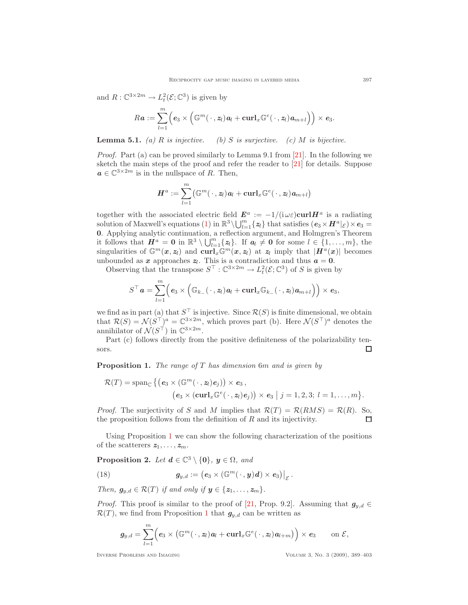and  $R: \mathbb{C}^{3 \times 2m} \to L^2_t(\mathcal{E}; \mathbb{C}^3)$  is given by

$$
Ra := \sum_{l=1}^m \Bigl(e_3 \times \Bigl(\mathbb{G}^m(\,\cdot\,,z_l)a_l + \operatorname{curl}_x\mathbb{G}^e(\,\cdot\,,z_l)a_{m+l}\Bigr)\Bigr) \times e_3.
$$

<span id="page-8-1"></span>**Lemma 5.1.** (a) R is injective. (b) S is surjective. (c) M is bijective.

Proof. Part (a) can be proved similarly to Lemma 9.1 from [\[21\]](#page-14-5). In the following we sketch the main steps of the proof and refer the reader to [\[21\]](#page-14-5) for details. Suppose  $a \in \mathbb{C}^{3 \times 2m}$  is in the nullspace of R. Then,

$$
\displaystyle \bm{H}^{a}:=\sum_{l=1}^{m}\bigl(\mathbb{G}^{m}(\,\cdot\,,\bm{z}_{l})\bm{a}_{l}+\mathbf{curl}_{x}\mathbb{G}^{e}(\,\cdot\,,\bm{z}_{l})\bm{a}_{m+l}\bigr)
$$

together with the associated electric field  $\mathbf{E}^a := -1/(\mathrm{i}\omega\varepsilon)\mathbf{curl}\mathbf{H}^a$  is a radiating solution of Maxwell's equations [\(1\)](#page-2-2) in  $\mathbb{R}^3 \setminus \bigcup_{l=1}^m \{z_l\}$  that satisfies  $(e_3 \times H^a|\varepsilon) \times e_3 =$ 0. Applying analytic continuation, a reflection argument, and Holmgren's Theorem it follows that  $H^a = \mathbf{0}$  in  $\mathbb{R}^3 \setminus \bigcup_{l=1}^m \{z_l\}$ . If  $a_l \neq \mathbf{0}$  for some  $l \in \{1, \ldots, m\}$ , the singularities of  $\mathbb{G}^m(x, z_l)$  and  $\text{curl}_x \mathbb{G}^m(x, z_l)$  at  $z_l$  imply that  $|H^a(x)|$  becomes unbounded as  $x$  approaches  $z_l$ . This is a contradiction and thus  $a = 0$ .

Observing that the transpose  $S^{\top}: \mathbb{C}^{3 \times 2m} \to L^2_t(\mathcal{E}; \mathbb{C}^3)$  of S is given by

$$
S^\top \textbf{\textit{a}} = \sum_{l=1}^m \Bigl( \textbf{\textit{e}}_3 \times \Bigl( \mathbb{G}_{k_-}(\,\cdot\,,z_l) \textbf{\textit{a}}_l + \mathbf{curl}_x \mathbb{G}_{k_-}(\,\cdot\,,z_l) \textbf{\textit{a}}_{m+l} \Bigr) \Bigr) \times \textbf{\textit{e}}_3,
$$

we find as in part (a) that  $S^{\top}$  is injective. Since  $\mathcal{R}(S)$  is finite dimensional, we obtain that  $\mathcal{R}(S) = \mathcal{N}(S^{\top})^a = \mathbb{C}^{3 \times 2m}$ , which proves part (b). Here  $\mathcal{N}(S^{\top})^a$  denotes the annihilator of  $\mathcal{N}(S^{\dagger})$  in  $\mathbb{C}^{3 \times 2m}$ .

Part (c) follows directly from the positive definiteness of the polarizability tensors. □

<span id="page-8-0"></span>**Proposition 1.** The range of  $T$  has dimension 6m and is given by

$$
\mathcal{R}(T) = \operatorname{span}_{\mathbb{C}} \left\{ \left( \mathbf{e}_3 \times (\mathbb{G}^m(\,\cdot\,, z_l) \mathbf{e}_j) \right) \times \mathbf{e}_3 , \right. \\ \left. \left( \mathbf{e}_3 \times (\mathbf{curl}_x \mathbb{G}^e(\,\cdot\,, z_l) \mathbf{e}_j) \right) \times \mathbf{e}_3 \mid j = 1, 2, 3; l = 1, \ldots, m \right\}.
$$

*Proof.* The surjectivity of S and M implies that  $\mathcal{R}(T) = \mathcal{R}(RMS) = \mathcal{R}(R)$ . So, the proposition follows from the definition of R and its injectivity. the proposition follows from the definition of  $R$  and its injectivity.

<span id="page-8-3"></span>Using Proposition [1](#page-8-0) we can show the following characterization of the positions of the scatterers  $z_1, \ldots, z_m$ .

**Proposition 2.** Let  $d \in \mathbb{C}^3 \setminus \{0\}$ ,  $y \in \Omega$ , and

<span id="page-8-2"></span>(18) 
$$
\boldsymbol{g}_{y,d} := (e_3 \times (\mathbb{G}^m(\cdot, \boldsymbol{y})d) \times e_3)|_{\varepsilon}.
$$

Then,  $g_{y,d} \in \mathcal{R}(T)$  if and only if  $y \in \{z_1, \ldots, z_m\}$ .

*Proof.* This proof is similar to the proof of [\[21,](#page-14-5) Prop. 9.2]. Assuming that  $g_{y,d} \in$  $\mathcal{R}(T)$ , we find from Proposition [1](#page-8-0) that  $g_{y,d}$  can be written as

$$
\pmb{g}_{y,d} = \sum_{l=1}^m \Bigl( \pmb{e}_3 \times \bigl(\mathbb{G}^m(\,\cdot\,,z_l)\pmb{a}_l + \pmb{\text{curl}}_x \mathbb{G}^e(\,\cdot\,,z_l)\pmb{a}_{l+m}\bigr)\Bigr) \times \pmb{e}_3 \qquad \text{on $\mathcal{E}$},
$$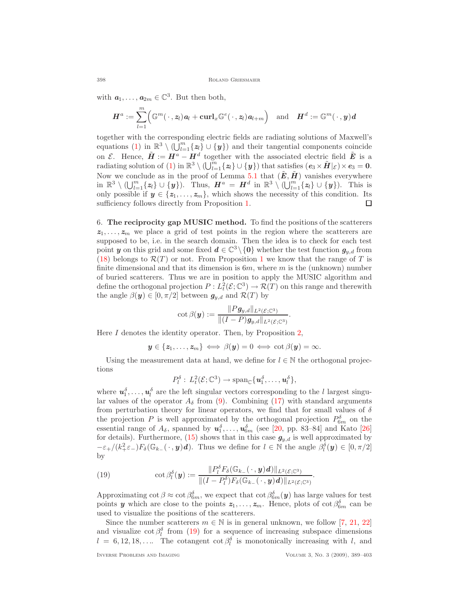with  $a_1, \ldots, a_{2m} \in \mathbb{C}^3$ . But then both,

$$
\displaystyle \bm{H}^{a}:=\sum_{l=1}^{m}\Bigl(\mathbb{G}^{m}(\,\cdot\,,\bm{z}_{l})\bm{a}_{l}+\mathbf{curl}_{x}\mathbb{G}^{e}(\,\cdot\,,\bm{z}_{l})\bm{a}_{l+m}\Bigr) \quad \text{and} \quad \bm{H}^{d}:=\mathbb{G}^{m}(\,\cdot\,,\bm{y})\bm{d}
$$

together with the corresponding electric fields are radiating solutions of Maxwell's equations [\(1\)](#page-2-2) in  $\mathbb{R}^3 \setminus (\bigcup_{l=1}^m \{z_l\} \cup \{y\})$  and their tangential components coincide on E. Hence,  $\tilde{H} := H^a - H^d$  together with the associated electric field  $\tilde{E}$  is a  ${\rm radiation~of}~(1)~{\rm in}~\mathbb{R}^3\setminus(\bigcup_{l=1}^m\{z_l\}\cup\{\bm{y}\})~{\rm that~satisfies}~(\bm{e}_3\times\tilde{\bm{H}}|_{\mathcal{E}})\times\bm{e}_3=\bm{0}.$ Now we conclude as in the proof of Lemma [5.1](#page-8-1) that  $(\tilde{E}, \tilde{H})$  vanishes everywhere in  $\mathbb{R}^3 \setminus (\bigcup_{l=1}^m \{z_l\} \cup \{y\})$ . Thus,  $H^a = H^d$  in  $\mathbb{R}^3 \setminus (\bigcup_{l=1}^m \{z_l\} \cup \{y\})$ . This is only possible if  $y \in \{z_1, \ldots, z_m\}$ , which shows the necessity of this condition. Its sufficiency follows directly from Proposition [1.](#page-8-0)

<span id="page-9-0"></span>6. The reciprocity gap MUSIC method. To find the positions of the scatterers  $z_1, \ldots, z_m$  we place a grid of test points in the region where the scatterers are supposed to be, i.e. in the search domain. Then the idea is to check for each test point y on this grid and some fixed  $d \in \mathbb{C}^3 \setminus \{0\}$  whether the test function  $g_{y,d}$  from [\(18\)](#page-8-2) belongs to  $\mathcal{R}(T)$  or not. From Proposition [1](#page-8-0) we know that the range of T is finite dimensional and that its dimension is  $6m$ , where m is the (unknown) number of buried scatterers. Thus we are in position to apply the MUSIC algorithm and define the orthogonal projection  $P: L^2_t(\mathcal{E}; \mathbb{C}^3) \to \mathcal{R}(T)$  on this range and therewith the angle  $\beta(\mathbf{y}) \in [0, \pi/2]$  between  $g_{y,d}$  and  $\mathcal{R}(T)$  by

$$
\cot\beta(\boldsymbol{y}):=\frac{\|Pg_{\boldsymbol{y},d}\|_{L^2(\mathcal{E};\mathbb{C}^3)}}{\|(I-P)\boldsymbol{g}_{\boldsymbol{y},d}\|_{L^2(\mathcal{E};\mathbb{C}^3)}}.
$$

Here  $I$  denotes the identity operator. Then, by Proposition [2,](#page-8-3)

$$
y \in \{z_1, \ldots, z_m\} \iff \beta(y) = 0 \iff \cot \beta(y) = \infty.
$$

Using the measurement data at hand, we define for  $l \in \mathbb{N}$  the orthogonal projections

$$
P_l^{\delta}: L^2_t(\mathcal{E}; \mathbb{C}^3) \to \mathrm{span}_{\mathbb{C}}\{\boldsymbol{u}_1^{\delta}, \ldots, \boldsymbol{u}_l^{\delta}\},\
$$

where  $u_1^{\delta}, \ldots, u_l^{\delta}$  are the left singular vectors corresponding to the l largest singular values of the operator  $A_{\delta}$  from [\(9\)](#page-5-2). Combining [\(17\)](#page-7-3) with standard arguments from perturbation theory for linear operators, we find that for small values of  $\delta$ the projection P is well approximated by the orthogonal projection  $P_{6m}^{\delta}$  on the essential range of  $A_{\delta}$ , spanned by  $u_1^{\delta}, \ldots, u_{6m}^{\delta}$  (see [\[20,](#page-14-15) pp. 83–84] and Kato [\[26\]](#page-14-16) for details). Furthermore, [\(15\)](#page-7-1) shows that in this case  $g_{y,d}$  is well approximated by  $-\varepsilon_+/(k_+^2\varepsilon_-)F_\delta(\mathbb{G}_{k_-}(\cdot,y)d).$  Thus we define for  $l \in \mathbb{N}$  the angle  $\beta_l^{\delta}(y) \in [0,\pi/2]$ by

<span id="page-9-1"></span>(19) 
$$
\cot \beta_l^{\delta}(\mathbf{y}) := \frac{\|P_l^{\delta} F_{\delta}(\mathbb{G}_{k_{-}}(\cdot, \mathbf{y})\mathbf{d})\|_{L^2(\mathcal{E};\mathbb{C}^3)}}{\|(I - P_l^{\delta})F_{\delta}(\mathbb{G}_{k_{-}}(\cdot, \mathbf{y})\mathbf{d})\|_{L^2(\mathcal{E};\mathbb{C}^3)}}.
$$

Approximating  $\cot \beta \approx \cot \beta_{6m}^{\delta}$ , we expect that  $\cot \beta_{6m}^{\delta}(\mathbf{y})$  has large values for test points y which are close to the points  $z_1, \ldots, z_m$ . Hence, plots of  $\cot \beta_{6m}^{\delta}$  can be used to visualize the positions of the scatterers.

Since the number scatterers  $m \in \mathbb{N}$  is in general unknown, we follow [\[7,](#page-13-5) [21,](#page-14-5) [22\]](#page-14-6) and visualize  $\cot \beta_l^{\delta}$  from [\(19\)](#page-9-1) for a sequence of increasing subspace dimensions  $l = 6, 12, 18, \ldots$  The cotangent cot  $\beta_l^{\delta}$  is monotonically increasing with l, and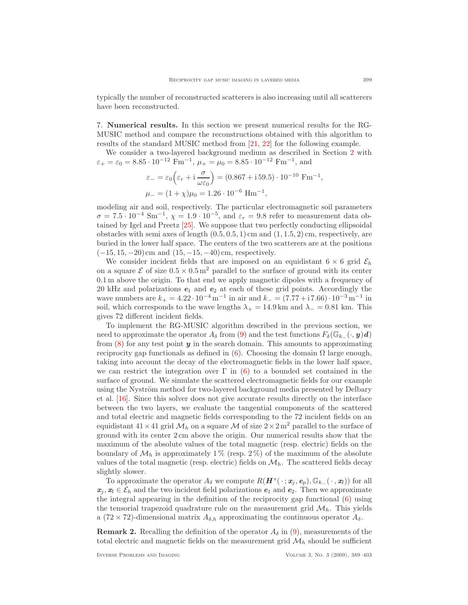typically the number of reconstructed scatterers is also increasing until all scatterers have been reconstructed.

<span id="page-10-0"></span>7. Numerical results. In this section we present numerical results for the RG-MUSIC method and compare the reconstructions obtained with this algorithm to results of the standard MUSIC method from [\[21,](#page-14-5) [22\]](#page-14-6) for the following example.

We consider a two-layered background medium as described in Section [2](#page-1-0) with  $\varepsilon_+ = \varepsilon_0 = 8.85 \cdot 10^{-12}$  Fm<sup>-1</sup>,  $\mu_+ = \mu_0 = 8.85 \cdot 10^{-12}$  Fm<sup>-1</sup>, and

$$
\varepsilon_{-} = \varepsilon_{0} \left( \varepsilon_{r} + i \frac{\sigma}{\omega \varepsilon_{0}} \right) = (0.867 + i 59.5) \cdot 10^{-10} \text{ Fm}^{-1},
$$
  

$$
\mu_{-} = (1 + \chi)\mu_{0} = 1.26 \cdot 10^{-6} \text{ Hm}^{-1},
$$

modeling air and soil, respectively. The particular electromagnetic soil parameters  $\sigma = 7.5 \cdot 10^{-4}$  Sm<sup>-1</sup>,  $\chi = 1.9 \cdot 10^{-5}$ , and  $\varepsilon_r = 9.8$  refer to measurement data obtained by Igel and Preetz [\[25\]](#page-14-17). We suppose that two perfectly conducting ellipsoidal obstacles with semi axes of length  $(0.5, 0.5, 1)$  cm and  $(1, 1.5, 2)$  cm, respectively, are buried in the lower half space. The centers of the two scatterers are at the positions  $(-15, 15, -20)$  cm and  $(15, -15, -40)$  cm, respectively.

We consider incident fields that are imposed on an equidistant  $6 \times 6$  grid  $\mathcal{E}_h$ on a square  $\mathcal E$  of size  $0.5 \times 0.5$  m<sup>2</sup> parallel to the surface of ground with its center 0.1 m above the origin. To that end we apply magnetic dipoles with a frequency of 20 kHz and polarizations  $e_1$  and  $e_2$  at each of these grid points. Accordingly the wave numbers are  $k_+ = 4.22 \cdot 10^{-4} \,\mathrm{m}^{-1}$  in air and  $k_- = (7.77 + 17.66) \cdot 10^{-3} \,\mathrm{m}^{-1}$  in soil, which corresponds to the wave lengths  $\lambda_+ = 14.9$  km and  $\lambda_- = 0.81$  km. This gives 72 different incident fields.

To implement the RG-MUSIC algorithm described in the previous section, we need to approximate the operator  $A_{\delta}$  from [\(9\)](#page-5-2) and the test functions  $F_{\delta}(\mathbb{G}_{k-}(\cdot, y)d)$ from  $(8)$  for any test point  $y$  in the search domain. This amounts to approximating reciprocity gap functionals as defined in [\(6\)](#page-4-2). Choosing the domain  $Ω$  large enough, taking into account the decay of the electromagnetic fields in the lower half space, we can restrict the integration over  $\Gamma$  in [\(6\)](#page-4-2) to a bounded set contained in the surface of ground. We simulate the scattered electromagnetic fields for our example using the Nyström method for two-layered background media presented by Delbary et al. [\[16\]](#page-14-18). Since this solver does not give accurate results directly on the interface between the two layers, we evaluate the tangential components of the scattered and total electric and magnetic fields corresponding to the 72 incident fields on an equidistant  $41 \times 41$  grid  $\mathcal{M}_h$  on a square M of size  $2 \times 2$  m<sup>2</sup> parallel to the surface of ground with its center 2 cm above the origin. Our numerical results show that the maximum of the absolute values of the total magnetic (resp. electric) fields on the boundary of  $\mathcal{M}_h$  is approximately 1% (resp. 2%) of the maximum of the absolute values of the total magnetic (resp. electric) fields on  $\mathcal{M}_h$ . The scattered fields decay slightly slower.

To approximate the operator  $A_{\delta}$  we compute  $R(\boldsymbol{H}^s(\cdot;\boldsymbol{x}_j,\boldsymbol{e}_p),\mathbb{G}_{k-}(\cdot,\boldsymbol{x}_l))$  for all  $x_i, x_i \in \mathcal{E}_h$  and the two incident field polarizations  $e_1$  and  $e_2$ . Then we approximate the integral appearing in the definition of the reciprocity gap functional [\(6\)](#page-4-2) using the tensorial trapezoid quadrature rule on the measurement grid  $\mathcal{M}_h$ . This yields a (72 × 72)-dimensional matrix  $A_{\delta,h}$  approximating the continuous operator  $A_{\delta}$ .

**Remark 2.** Recalling the definition of the operator  $A_{\delta}$  in [\(9\)](#page-5-2), measurements of the total electric and magnetic fields on the measurement grid  $\mathcal{M}_h$  should be sufficient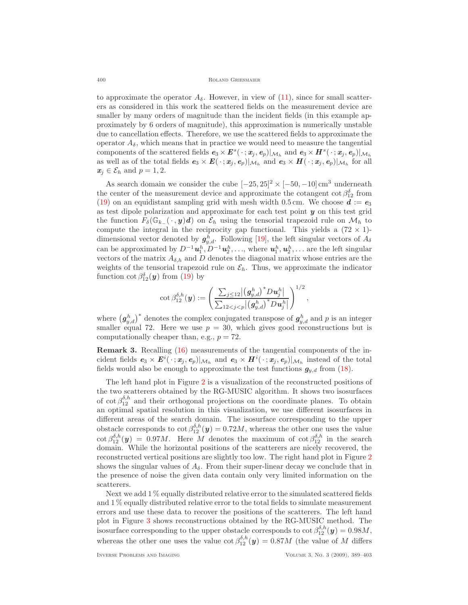400 Roland Griesmaier

to approximate the operator  $A_{\delta}$ . However, in view of [\(11\)](#page-5-3), since for small scatterers as considered in this work the scattered fields on the measurement device are smaller by many orders of magnitude than the incident fields (in this example approximately by 6 orders of magnitude), this approximation is numerically unstable due to cancellation effects. Therefore, we use the scattered fields to approximate the operator  $A_{\delta}$ , which means that in practice we would need to measure the tangential components of the scattered fields  $\bm{e}_3\times\bm{E}^s(\,\cdot\,;\bm{x}_j,\bm{e}_p)|_{\mathcal{M}_h}$  and  $\bm{e}_3\times\bm{H}^s(\,\cdot\,;\bm{x}_j,\bm{e}_p)|_{\mathcal{M}_h}$ as well as of the total fields  $e_3 \times E(\cdot; x_j, e_p)|_{\mathcal{M}_h}$  and  $e_3 \times H(\cdot; x_j, e_p)|_{\mathcal{M}_h}$  for all  $x_j \in \mathcal{E}_h$  and  $p = 1, 2$ .

As search domain we consider the cube  $[-25, 25]^2 \times [-50, -10] \text{ cm}^3$  underneath the center of the measurement device and approximate the cotangent  $\cot \beta_{12}^{\delta}$  from [\(19\)](#page-9-1) on an equidistant sampling grid with mesh width 0.5 cm. We choose  $d := e_3$ as test dipole polarization and approximate for each test point  $\boldsymbol{\eta}$  on this test grid the function  $F_\delta(\mathbb{G}_{k_-}(\cdot, y)d)$  on  $\mathcal{E}_h$  using the tensorial trapezoid rule on  $\mathcal{M}_h$  to compute the integral in the reciprocity gap functional. This yields a  $(72 \times 1)$ dimensional vector denoted by  $g_{y,d}^h$ . Following [\[19\]](#page-14-19), the left singular vectors of  $A_\delta$ can be approximated by  $D^{-1}u_1^h, D^{-1}u_2^h, \ldots$ , where  $u_1^h, u_2^h, \ldots$  are the left singular vectors of the matrix  $A_{\delta,h}$  and D denotes the diagonal matrix whose entries are the weights of the tensorial trapezoid rule on  $\mathcal{E}_h$ . Thus, we approximate the indicator function  $\cot \beta_{12}^{\delta}(\mathbf{y})$  from [\(19\)](#page-9-1) by

$$
\cot\beta_{12}^{\delta,h}(\pmb{y}):=\left(\frac{\sum_{j\leq 12}\big|\big(\pmb{g}_{y,d}^h\big)^*D\pmb{u}_j^h\big|}{\sum_{12
$$

where  $(g_{y,d}^h)^*$  denotes the complex conjugated transpose of  $g_{y,d}^h$  and p is an integer smaller equal 72. Here we use  $p = 30$ , which gives good reconstructions but is computationally cheaper than, e.g.,  $p = 72$ .

Remark 3. Recalling [\(16\)](#page-7-4) measurements of the tangential components of the incident fields  $e_3 \times E^i(\cdot; x_j, e_p)|_{\mathcal{M}_h}$  and  $e_3 \times H^i(\cdot; x_j, e_p)|_{\mathcal{M}_h}$  instead of the total fields would also be enough to approximate the test functions  $g_{y,d}$  from [\(18\)](#page-8-2).

The left hand plot in Figure [2](#page-12-0) is a visualization of the reconstructed positions of the two scatterers obtained by the RG-MUSIC algorithm. It shows two isosurfaces of  $\cot \beta_{12}^{\delta,h}$  and their orthogonal projections on the coordinate planes. To obtain an optimal spatial resolution in this visualization, we use different isosurfaces in different areas of the search domain. The isosurface corresponding to the upper obstacle corresponds to  $\cot \beta_{12}^{\delta,h}(y) = 0.72M$ , whereas the other one uses the value cot  $\beta_{12}^{\delta,h}(y) = 0.97M$ . Here M denotes the maximum of cot  $\beta_{12}^{\delta,h}$  in the search domain. While the horizontal positions of the scatterers are nicely recovered, the reconstructed vertical positions are slightly too low. The right hand plot in Figure [2](#page-12-0) shows the singular values of  $A_{\delta}$ . From their super-linear decay we conclude that in the presence of noise the given data contain only very limited information on the scatterers.

Next we add 1 % equally distributed relative error to the simulated scattered fields and 1 % equally distributed relative error to the total fields to simulate measurement errors and use these data to recover the positions of the scatterers. The left hand plot in Figure [3](#page-12-1) shows reconstructions obtained by the RG-MUSIC method. The isosurface corresponding to the upper obstacle corresponds to  $\cot \beta_{12}^{\delta,h}(\mathbf{y}) = 0.98M$ , whereas the other one uses the value  $\cot \beta_{12}^{\delta,h}(\mathbf{y}) = 0.87M$  (the value of M differs

,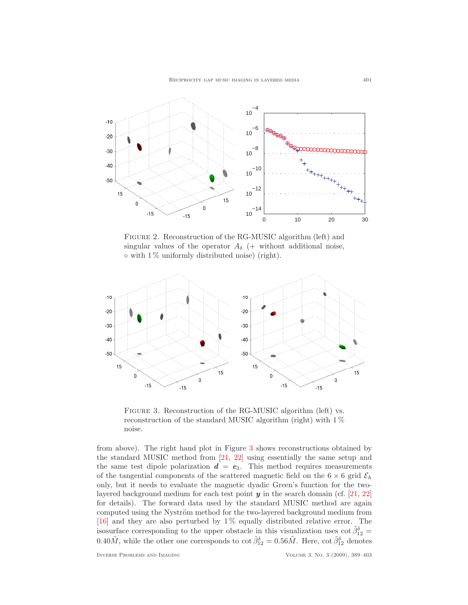

<span id="page-12-0"></span>FIGURE 2. Reconstruction of the RG-MUSIC algorithm (left) and singular values of the operator  $A_{\delta}$  (+ without additional noise, ◦ with 1 % uniformly distributed noise) (right).



<span id="page-12-1"></span>Figure 3. Reconstruction of the RG-MUSIC algorithm (left) vs. reconstruction of the standard MUSIC algorithm (right) with 1 % noise.

from above). The right hand plot in Figure [3](#page-12-1) shows reconstructions obtained by the standard MUSIC method from [\[21,](#page-14-5) [22\]](#page-14-6) using essentially the same setup and the same test dipole polarization  $d = e_3$ . This method requires measurements of the tangential components of the scattered magnetic field on the  $6 \times 6$  grid  $\mathcal{E}_h$ only, but it needs to evaluate the magnetic dyadic Green's function for the twolayered background medium for each test point  $y$  in the search domain (cf. [\[21,](#page-14-5) [22\]](#page-14-6) for details). The forward data used by the standard MUSIC method are again computed using the Nyström method for the two-layered background medium from [\[16\]](#page-14-18) and they are also perturbed by 1 % equally distributed relative error. The isosurface corresponding to the upper obstacle in this visualization uses  $\cot \tilde{\beta}_{12}^{\delta} =$ 0.40 $\tilde{M}$ , while the other one corresponds to  $\cot \tilde{\beta}_{12}^{\delta} = 0.56 \tilde{M}$ . Here,  $\cot \tilde{\beta}_{12}^{\delta}$  denotes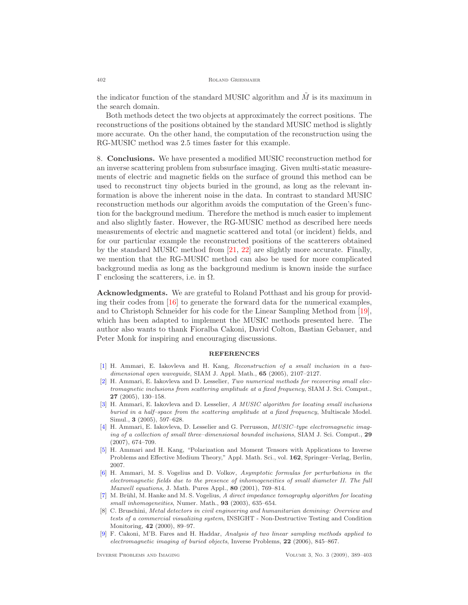the indicator function of the standard MUSIC algorithm and  $\tilde{M}$  is its maximum in the search domain.

Both methods detect the two objects at approximately the correct positions. The reconstructions of the positions obtained by the standard MUSIC method is slightly more accurate. On the other hand, the computation of the reconstruction using the RG-MUSIC method was 2.5 times faster for this example.

8. Conclusions. We have presented a modified MUSIC reconstruction method for an inverse scattering problem from subsurface imaging. Given multi-static measurements of electric and magnetic fields on the surface of ground this method can be used to reconstruct tiny objects buried in the ground, as long as the relevant information is above the inherent noise in the data. In contrast to standard MUSIC reconstruction methods our algorithm avoids the computation of the Green's function for the background medium. Therefore the method is much easier to implement and also slightly faster. However, the RG-MUSIC method as described here needs measurements of electric and magnetic scattered and total (or incident) fields, and for our particular example the reconstructed positions of the scatterers obtained by the standard MUSIC method from [\[21,](#page-14-5) [22\]](#page-14-6) are slightly more accurate. Finally, we mention that the RG-MUSIC method can also be used for more complicated background media as long as the background medium is known inside the surface Γ enclosing the scatterers, i.e. in  $Ω$ .

Acknowledgments. We are grateful to Roland Potthast and his group for providing their codes from [\[16\]](#page-14-18) to generate the forward data for the numerical examples, and to Christoph Schneider for his code for the Linear Sampling Method from [\[19\]](#page-14-19), which has been adapted to implement the MUSIC methods presented here. The author also wants to thank Fioralba Cakoni, David Colton, Bastian Gebauer, and Peter Monk for inspiring and encouraging discussions.

#### **REFERENCES**

- <span id="page-13-1"></span>[\[1\]](http://www.ams.org/mathscinet-getitem?mr=2177741&return=pdf) H. Ammari, E. Iakovleva and H. Kang, Reconstruction of a small inclusion in a twodimensional open waveguide, SIAM J. Appl. Math., 65 (2005), 2107–2127.
- <span id="page-13-2"></span>[\[2\]](http://www.ams.org/mathscinet-getitem?mr=2201178&return=pdf) H. Ammari, E. Iakovleva and D. Lesselier, Two numerical methods for recovering small electromagnetic inclusions from scattering amplitude at a fixed frequency, SIAM J. Sci. Comput., 27 (2005), 130–158.
- <span id="page-13-3"></span>[\[3\]](http://www.ams.org/mathscinet-getitem?mr=2177741&return=pdf) H. Ammari, E. Iakovleva and D. Lesselier, A MUSIC algorithm for locating small inclusions buried in a half–space from the scattering amplitude at a fixed frequency, Multiscale Model. Simul., 3 (2005), 597–628.
- <span id="page-13-4"></span>[\[4\]](http://www.ams.org/mathscinet-getitem?mr=2306264&return=pdf) H. Ammari, E. Iakovleva, D. Lesselier and G. Perrusson, MUSIC–type electromagnetic imaging of a collection of small three–dimensional bounded inclusions, SIAM J. Sci. Comput., 29 (2007), 674–709.
- <span id="page-13-8"></span>[\[5\]](http://www.ams.org/mathscinet-getitem?mr=2327884&return=pdf) H. Ammari and H. Kang, "Polarization and Moment Tensors with Applications to Inverse Problems and Effective Medium Theory," Appl. Math. Sci., vol. 162, Springer–Verlag, Berlin, 2007.
- <span id="page-13-7"></span>[\[6\]](http://www.ams.org/mathscinet-getitem?mr=1860816&return=pdf) H. Ammari, M. S. Vogelius and D. Volkov, Asymptotic formulas for perturbations in the electromagnetic fields due to the presence of inhomogeneities of small diameter II. The full Maxwell equations, J. Math. Pures Appl., 80 (2001), 769–814.
- <span id="page-13-5"></span>[\[7\]](http://www.ams.org/mathscinet-getitem?mr=1961882&return=pdf) M. Brühl, M. Hanke and M. S. Vogelius, A direct impedance tomography algorithm for locating small inhomogeneities, Numer. Math., 93 (2003), 635-654.
- <span id="page-13-0"></span>[8] C. Bruschini, Metal detectors in civil engineering and humanitarian demining: Overview and tests of a commercial visualizing system, INSIGHT - Non-Destructive Testing and Condition Monitoring, 42 (2000), 89–97.
- <span id="page-13-6"></span>[\[9\]](http://www.ams.org/mathscinet-getitem?mr=2235641&return=pdf) F. Cakoni, M'B. Fares and H. Haddar, Analysis of two linear sampling methods applied to electromagnetic imaging of buried objects, Inverse Problems, 22 (2006), 845–867.